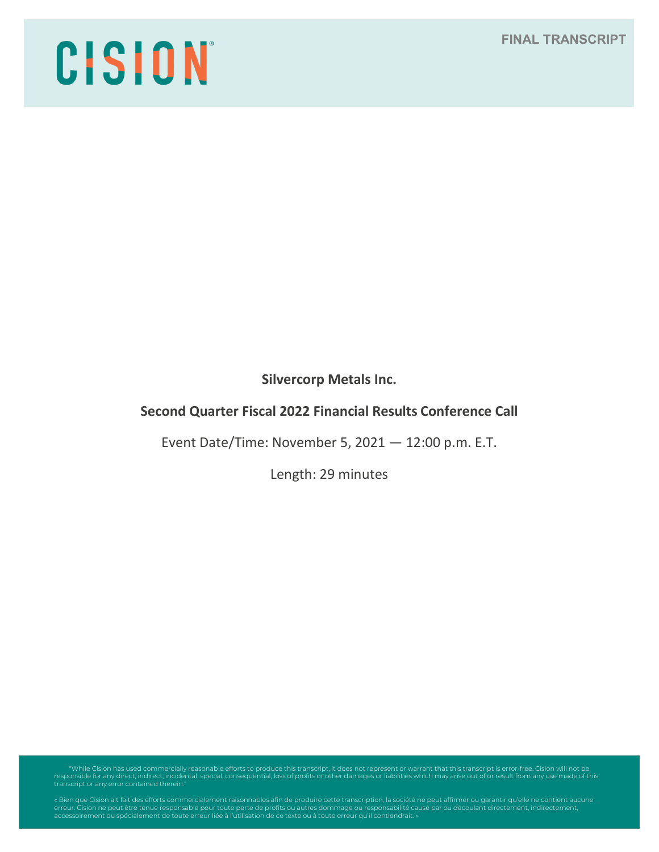# CISION

**Silvercorp Metals Inc.**

# **Second Quarter Fiscal 2022 Financial Results Conference Call**

Event Date/Time: November 5, 2021 — 12:00 p.m. E.T.

Length: 29 minutes

"While Cision has used commercially reasonable efforts to produce this transcript, it does not represent or warrant that this transcript is error-free. Cision will not be<br>responsible for any direct, indirect, incidental, s

erreur. Cision ne peut être tenue responsable pour toute perte de profits ou autres dommage ou responsabilité causé par ou découlant directement, indirectement,<br>accessoirement ou spécialement de toute erreur liée à l'utili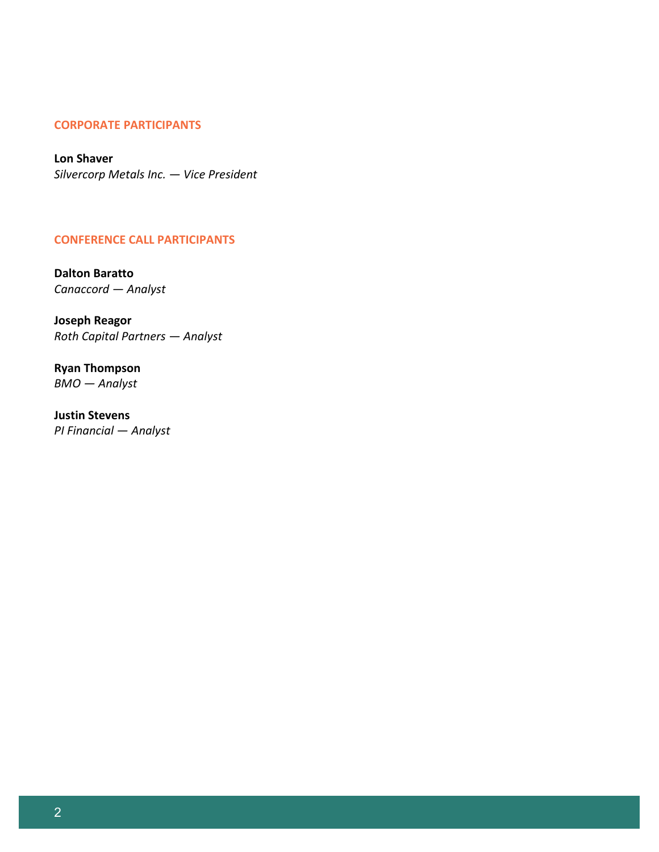# **CORPORATE PARTICIPANTS**

**Lon Shaver**  *Silvercorp Metals Inc. — Vice President* 

# **CONFERENCE CALL PARTICIPANTS**

**Dalton Baratto** *Canaccord — Analyst*

**Joseph Reagor** *Roth Capital Partners — Analyst*

**Ryan Thompson** *BMO — Analyst* 

**Justin Stevens**  *PI Financial — Analyst*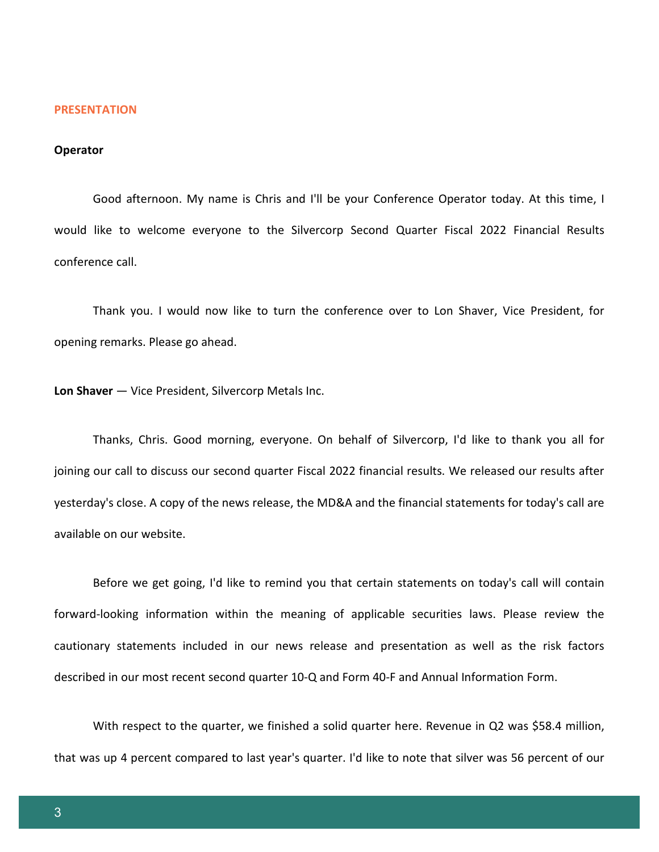#### **PRESENTATION**

#### **Operator**

Good afternoon. My name is Chris and I'll be your Conference Operator today. At this time, I would like to welcome everyone to the Silvercorp Second Quarter Fiscal 2022 Financial Results conference call.

Thank you. I would now like to turn the conference over to Lon Shaver, Vice President, for opening remarks. Please go ahead.

**Lon Shaver** — Vice President, Silvercorp Metals Inc.

Thanks, Chris. Good morning, everyone. On behalf of Silvercorp, I'd like to thank you all for joining our call to discuss our second quarter Fiscal 2022 financial results. We released our results after yesterday's close. A copy of the news release, the MD&A and the financial statements for today's call are available on our website.

Before we get going, I'd like to remind you that certain statements on today's call will contain forward-looking information within the meaning of applicable securities laws. Please review the cautionary statements included in our news release and presentation as well as the risk factors described in our most recent second quarter 10-Q and Form 40-F and Annual Information Form.

With respect to the quarter, we finished a solid quarter here. Revenue in Q2 was \$58.4 million, that was up 4 percent compared to last year's quarter. I'd like to note that silver was 56 percent of our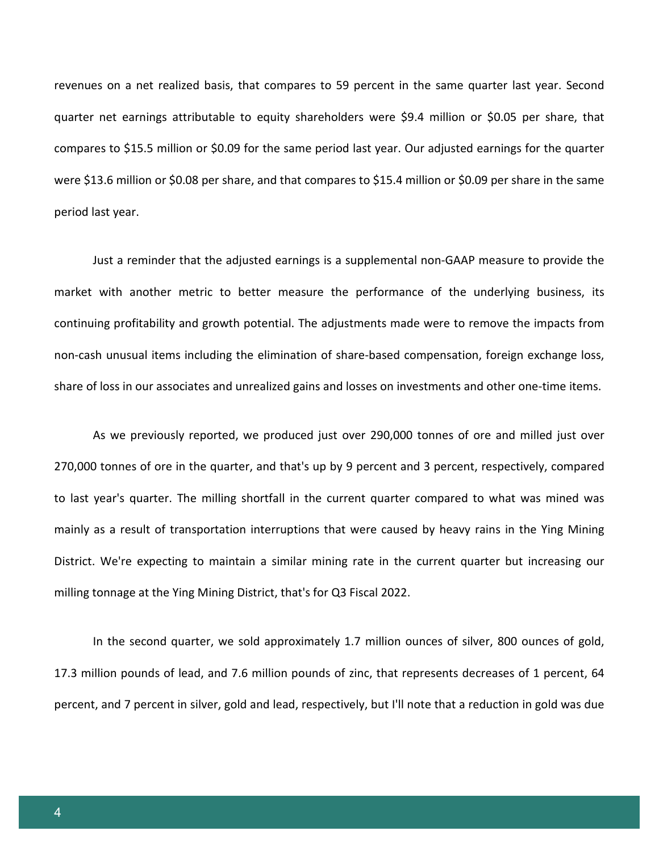revenues on a net realized basis, that compares to 59 percent in the same quarter last year. Second quarter net earnings attributable to equity shareholders were \$9.4 million or \$0.05 per share, that compares to \$15.5 million or \$0.09 for the same period last year. Our adjusted earnings for the quarter were \$13.6 million or \$0.08 per share, and that compares to \$15.4 million or \$0.09 per share in the same period last year.

Just a reminder that the adjusted earnings is a supplemental non-GAAP measure to provide the market with another metric to better measure the performance of the underlying business, its continuing profitability and growth potential. The adjustments made were to remove the impacts from non-cash unusual items including the elimination of share-based compensation, foreign exchange loss, share of loss in our associates and unrealized gains and losses on investments and other one-time items.

As we previously reported, we produced just over 290,000 tonnes of ore and milled just over 270,000 tonnes of ore in the quarter, and that's up by 9 percent and 3 percent, respectively, compared to last year's quarter. The milling shortfall in the current quarter compared to what was mined was mainly as a result of transportation interruptions that were caused by heavy rains in the Ying Mining District. We're expecting to maintain a similar mining rate in the current quarter but increasing our milling tonnage at the Ying Mining District, that's for Q3 Fiscal 2022.

In the second quarter, we sold approximately 1.7 million ounces of silver, 800 ounces of gold, 17.3 million pounds of lead, and 7.6 million pounds of zinc, that represents decreases of 1 percent, 64 percent, and 7 percent in silver, gold and lead, respectively, but I'll note that a reduction in gold was due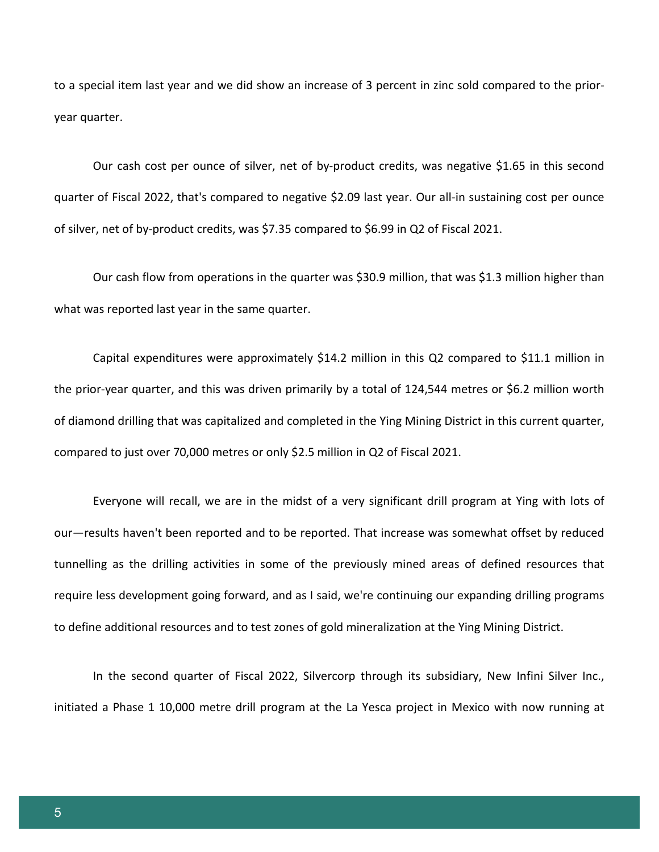to a special item last year and we did show an increase of 3 percent in zinc sold compared to the prioryear quarter.

Our cash cost per ounce of silver, net of by-product credits, was negative \$1.65 in this second quarter of Fiscal 2022, that's compared to negative \$2.09 last year. Our all-in sustaining cost per ounce of silver, net of by-product credits, was \$7.35 compared to \$6.99 in Q2 of Fiscal 2021.

Our cash flow from operations in the quarter was \$30.9 million, that was \$1.3 million higher than what was reported last year in the same quarter.

Capital expenditures were approximately \$14.2 million in this Q2 compared to \$11.1 million in the prior-year quarter, and this was driven primarily by a total of 124,544 metres or \$6.2 million worth of diamond drilling that was capitalized and completed in the Ying Mining District in this current quarter, compared to just over 70,000 metres or only \$2.5 million in Q2 of Fiscal 2021.

Everyone will recall, we are in the midst of a very significant drill program at Ying with lots of our—results haven't been reported and to be reported. That increase was somewhat offset by reduced tunnelling as the drilling activities in some of the previously mined areas of defined resources that require less development going forward, and as I said, we're continuing our expanding drilling programs to define additional resources and to test zones of gold mineralization at the Ying Mining District.

In the second quarter of Fiscal 2022, Silvercorp through its subsidiary, New Infini Silver Inc., initiated a Phase 1 10,000 metre drill program at the La Yesca project in Mexico with now running at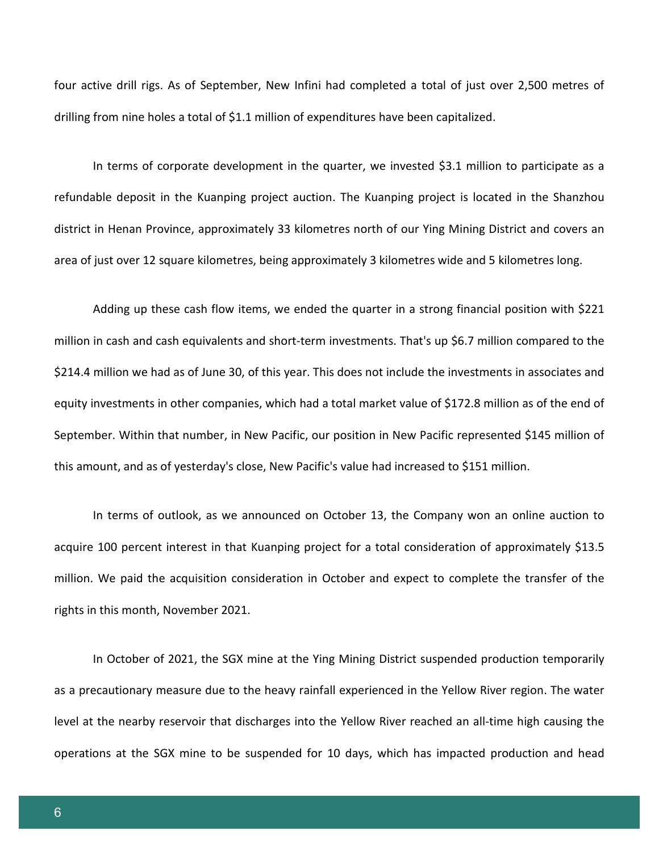four active drill rigs. As of September, New Infini had completed a total of just over 2,500 metres of drilling from nine holes a total of \$1.1 million of expenditures have been capitalized.

In terms of corporate development in the quarter, we invested \$3.1 million to participate as a refundable deposit in the Kuanping project auction. The Kuanping project is located in the Shanzhou district in Henan Province, approximately 33 kilometres north of our Ying Mining District and covers an area of just over 12 square kilometres, being approximately 3 kilometres wide and 5 kilometres long.

Adding up these cash flow items, we ended the quarter in a strong financial position with \$221 million in cash and cash equivalents and short-term investments. That's up \$6.7 million compared to the \$214.4 million we had as of June 30, of this year. This does not include the investments in associates and equity investments in other companies, which had a total market value of \$172.8 million as of the end of September. Within that number, in New Pacific, our position in New Pacific represented \$145 million of this amount, and as of yesterday's close, New Pacific's value had increased to \$151 million.

In terms of outlook, as we announced on October 13, the Company won an online auction to acquire 100 percent interest in that Kuanping project for a total consideration of approximately \$13.5 million. We paid the acquisition consideration in October and expect to complete the transfer of the rights in this month, November 2021.

In October of 2021, the SGX mine at the Ying Mining District suspended production temporarily as a precautionary measure due to the heavy rainfall experienced in the Yellow River region. The water level at the nearby reservoir that discharges into the Yellow River reached an all-time high causing the operations at the SGX mine to be suspended for 10 days, which has impacted production and head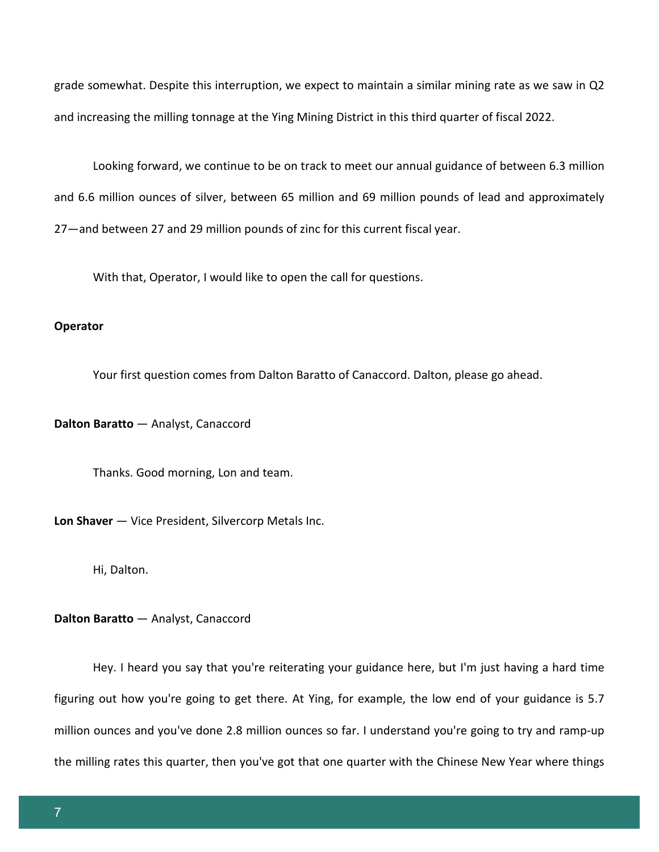grade somewhat. Despite this interruption, we expect to maintain a similar mining rate as we saw in Q2 and increasing the milling tonnage at the Ying Mining District in this third quarter of fiscal 2022.

Looking forward, we continue to be on track to meet our annual guidance of between 6.3 million and 6.6 million ounces of silver, between 65 million and 69 million pounds of lead and approximately 27—and between 27 and 29 million pounds of zinc for this current fiscal year.

With that, Operator, I would like to open the call for questions.

# **Operator**

Your first question comes from Dalton Baratto of Canaccord. Dalton, please go ahead.

**Dalton Baratto** — Analyst, Canaccord

Thanks. Good morning, Lon and team.

**Lon Shaver** — Vice President, Silvercorp Metals Inc.

Hi, Dalton.

**Dalton Baratto** — Analyst, Canaccord

Hey. I heard you say that you're reiterating your guidance here, but I'm just having a hard time figuring out how you're going to get there. At Ying, for example, the low end of your guidance is 5.7 million ounces and you've done 2.8 million ounces so far. I understand you're going to try and ramp-up the milling rates this quarter, then you've got that one quarter with the Chinese New Year where things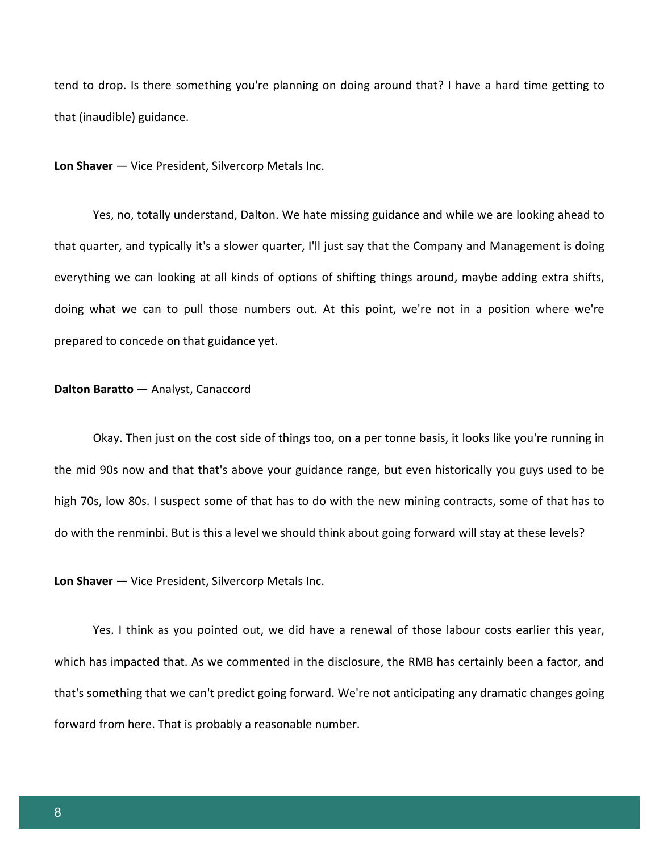tend to drop. Is there something you're planning on doing around that? I have a hard time getting to that (inaudible) guidance.

**Lon Shaver** — Vice President, Silvercorp Metals Inc.

Yes, no, totally understand, Dalton. We hate missing guidance and while we are looking ahead to that quarter, and typically it's a slower quarter, I'll just say that the Company and Management is doing everything we can looking at all kinds of options of shifting things around, maybe adding extra shifts, doing what we can to pull those numbers out. At this point, we're not in a position where we're prepared to concede on that guidance yet.

# **Dalton Baratto** — Analyst, Canaccord

Okay. Then just on the cost side of things too, on a per tonne basis, it looks like you're running in the mid 90s now and that that's above your guidance range, but even historically you guys used to be high 70s, low 80s. I suspect some of that has to do with the new mining contracts, some of that has to do with the renminbi. But is this a level we should think about going forward will stay at these levels?

**Lon Shaver** — Vice President, Silvercorp Metals Inc.

Yes. I think as you pointed out, we did have a renewal of those labour costs earlier this year, which has impacted that. As we commented in the disclosure, the RMB has certainly been a factor, and that's something that we can't predict going forward. We're not anticipating any dramatic changes going forward from here. That is probably a reasonable number.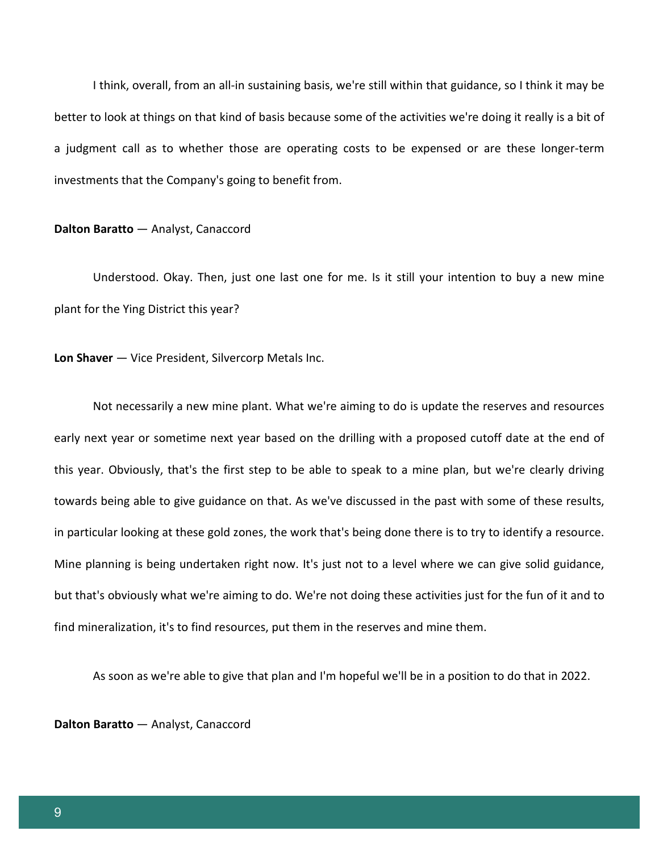I think, overall, from an all-in sustaining basis, we're still within that guidance, so I think it may be better to look at things on that kind of basis because some of the activities we're doing it really is a bit of a judgment call as to whether those are operating costs to be expensed or are these longer-term investments that the Company's going to benefit from.

#### **Dalton Baratto** — Analyst, Canaccord

Understood. Okay. Then, just one last one for me. Is it still your intention to buy a new mine plant for the Ying District this year?

**Lon Shaver** — Vice President, Silvercorp Metals Inc.

Not necessarily a new mine plant. What we're aiming to do is update the reserves and resources early next year or sometime next year based on the drilling with a proposed cutoff date at the end of this year. Obviously, that's the first step to be able to speak to a mine plan, but we're clearly driving towards being able to give guidance on that. As we've discussed in the past with some of these results, in particular looking at these gold zones, the work that's being done there is to try to identify a resource. Mine planning is being undertaken right now. It's just not to a level where we can give solid guidance, but that's obviously what we're aiming to do. We're not doing these activities just for the fun of it and to find mineralization, it's to find resources, put them in the reserves and mine them.

As soon as we're able to give that plan and I'm hopeful we'll be in a position to do that in 2022.

**Dalton Baratto** — Analyst, Canaccord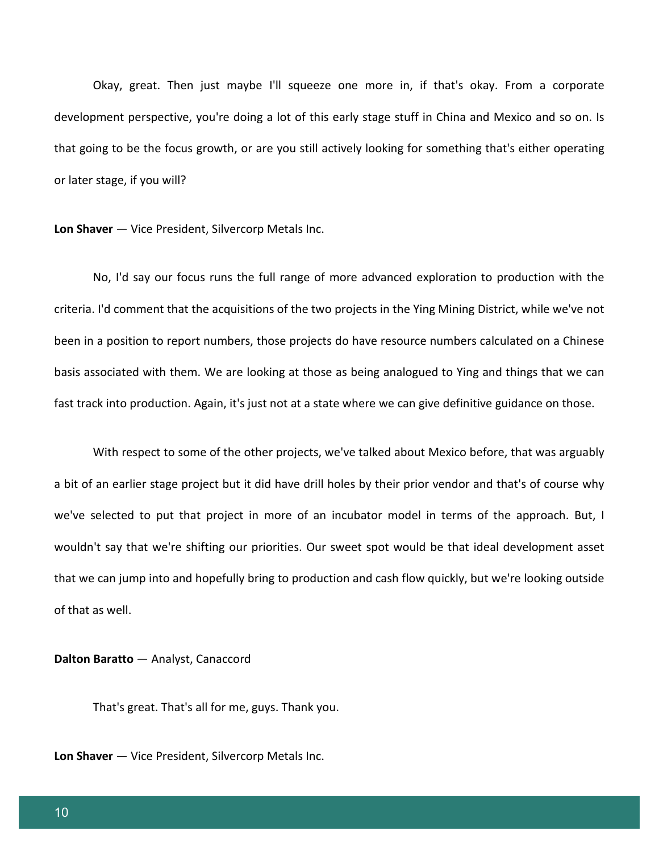Okay, great. Then just maybe I'll squeeze one more in, if that's okay. From a corporate development perspective, you're doing a lot of this early stage stuff in China and Mexico and so on. Is that going to be the focus growth, or are you still actively looking for something that's either operating or later stage, if you will?

**Lon Shaver** — Vice President, Silvercorp Metals Inc.

No, I'd say our focus runs the full range of more advanced exploration to production with the criteria. I'd comment that the acquisitions of the two projects in the Ying Mining District, while we've not been in a position to report numbers, those projects do have resource numbers calculated on a Chinese basis associated with them. We are looking at those as being analogued to Ying and things that we can fast track into production. Again, it's just not at a state where we can give definitive guidance on those.

With respect to some of the other projects, we've talked about Mexico before, that was arguably a bit of an earlier stage project but it did have drill holes by their prior vendor and that's of course why we've selected to put that project in more of an incubator model in terms of the approach. But, I wouldn't say that we're shifting our priorities. Our sweet spot would be that ideal development asset that we can jump into and hopefully bring to production and cash flow quickly, but we're looking outside of that as well.

**Dalton Baratto** — Analyst, Canaccord

That's great. That's all for me, guys. Thank you.

**Lon Shaver** — Vice President, Silvercorp Metals Inc.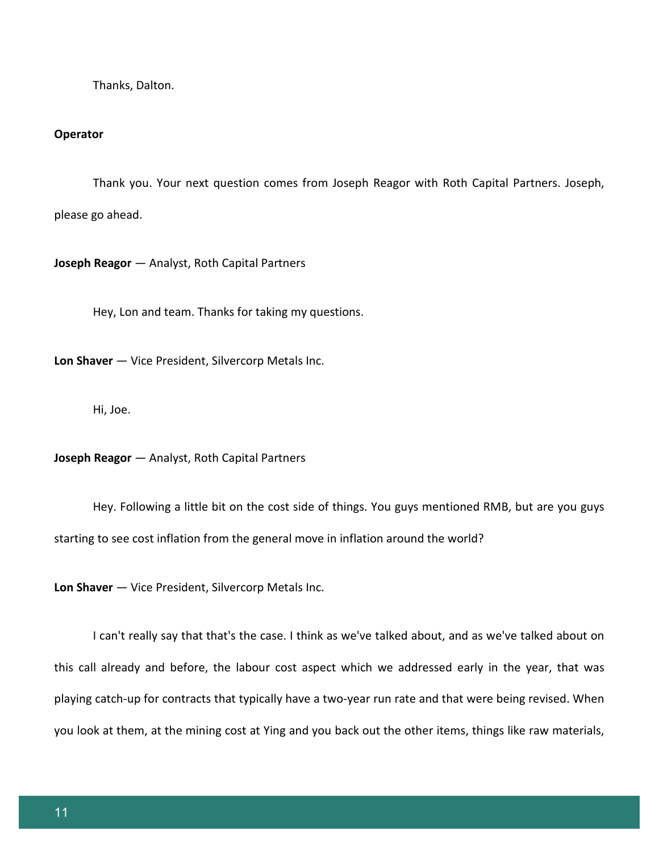Thanks, Dalton.

#### **Operator**

Thank you. Your next question comes from Joseph Reagor with Roth Capital Partners. Joseph, please go ahead.

**Joseph Reagor** — Analyst, Roth Capital Partners

Hey, Lon and team. Thanks for taking my questions.

**Lon Shaver** — Vice President, Silvercorp Metals Inc.

Hi, Joe.

**Joseph Reagor** — Analyst, Roth Capital Partners

Hey. Following a little bit on the cost side of things. You guys mentioned RMB, but are you guys starting to see cost inflation from the general move in inflation around the world?

**Lon Shaver** — Vice President, Silvercorp Metals Inc.

I can't really say that that's the case. I think as we've talked about, and as we've talked about on this call already and before, the labour cost aspect which we addressed early in the year, that was playing catch-up for contracts that typically have a two-year run rate and that were being revised. When you look at them, at the mining cost at Ying and you back out the other items, things like raw materials,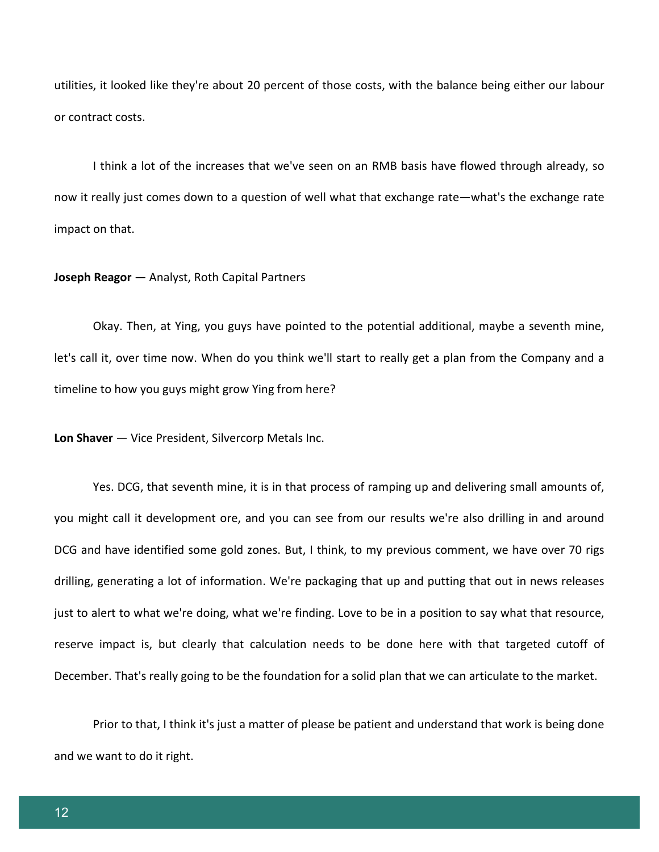utilities, it looked like they're about 20 percent of those costs, with the balance being either our labour or contract costs.

I think a lot of the increases that we've seen on an RMB basis have flowed through already, so now it really just comes down to a question of well what that exchange rate—what's the exchange rate impact on that.

# **Joseph Reagor** — Analyst, Roth Capital Partners

Okay. Then, at Ying, you guys have pointed to the potential additional, maybe a seventh mine, let's call it, over time now. When do you think we'll start to really get a plan from the Company and a timeline to how you guys might grow Ying from here?

**Lon Shaver** — Vice President, Silvercorp Metals Inc.

Yes. DCG, that seventh mine, it is in that process of ramping up and delivering small amounts of, you might call it development ore, and you can see from our results we're also drilling in and around DCG and have identified some gold zones. But, I think, to my previous comment, we have over 70 rigs drilling, generating a lot of information. We're packaging that up and putting that out in news releases just to alert to what we're doing, what we're finding. Love to be in a position to say what that resource, reserve impact is, but clearly that calculation needs to be done here with that targeted cutoff of December. That's really going to be the foundation for a solid plan that we can articulate to the market.

Prior to that, I think it's just a matter of please be patient and understand that work is being done and we want to do it right.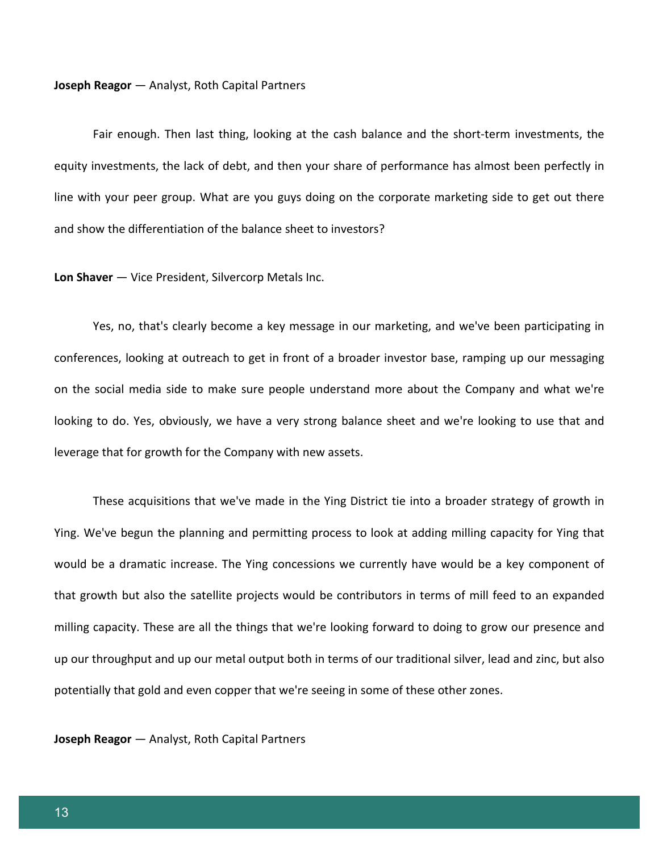#### **Joseph Reagor** — Analyst, Roth Capital Partners

Fair enough. Then last thing, looking at the cash balance and the short-term investments, the equity investments, the lack of debt, and then your share of performance has almost been perfectly in line with your peer group. What are you guys doing on the corporate marketing side to get out there and show the differentiation of the balance sheet to investors?

**Lon Shaver** — Vice President, Silvercorp Metals Inc.

Yes, no, that's clearly become a key message in our marketing, and we've been participating in conferences, looking at outreach to get in front of a broader investor base, ramping up our messaging on the social media side to make sure people understand more about the Company and what we're looking to do. Yes, obviously, we have a very strong balance sheet and we're looking to use that and leverage that for growth for the Company with new assets.

These acquisitions that we've made in the Ying District tie into a broader strategy of growth in Ying. We've begun the planning and permitting process to look at adding milling capacity for Ying that would be a dramatic increase. The Ying concessions we currently have would be a key component of that growth but also the satellite projects would be contributors in terms of mill feed to an expanded milling capacity. These are all the things that we're looking forward to doing to grow our presence and up our throughput and up our metal output both in terms of our traditional silver, lead and zinc, but also potentially that gold and even copper that we're seeing in some of these other zones.

**Joseph Reagor** — Analyst, Roth Capital Partners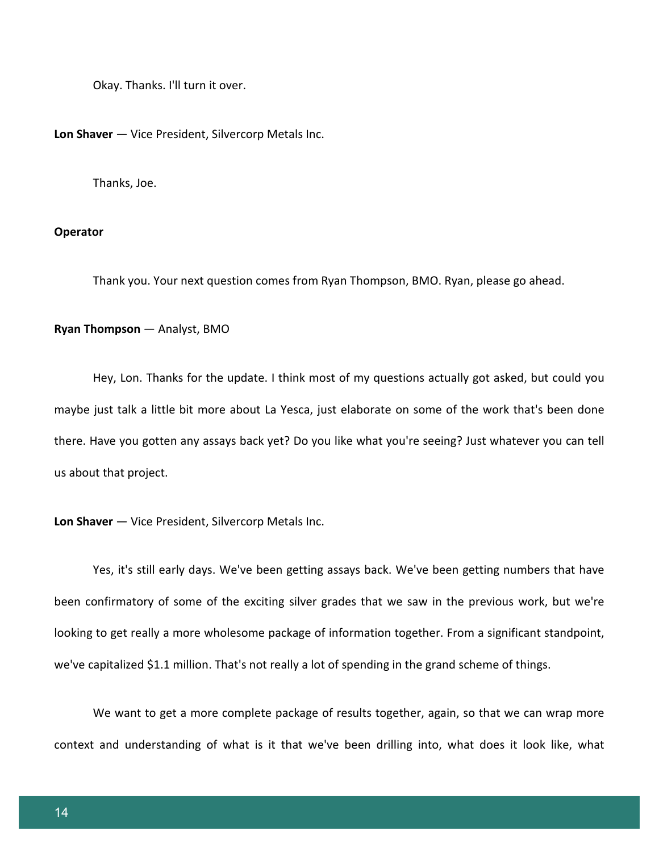Okay. Thanks. I'll turn it over.

**Lon Shaver** — Vice President, Silvercorp Metals Inc.

Thanks, Joe.

# **Operator**

Thank you. Your next question comes from Ryan Thompson, BMO. Ryan, please go ahead.

#### **Ryan Thompson** — Analyst, BMO

Hey, Lon. Thanks for the update. I think most of my questions actually got asked, but could you maybe just talk a little bit more about La Yesca, just elaborate on some of the work that's been done there. Have you gotten any assays back yet? Do you like what you're seeing? Just whatever you can tell us about that project.

**Lon Shaver** — Vice President, Silvercorp Metals Inc.

Yes, it's still early days. We've been getting assays back. We've been getting numbers that have been confirmatory of some of the exciting silver grades that we saw in the previous work, but we're looking to get really a more wholesome package of information together. From a significant standpoint, we've capitalized \$1.1 million. That's not really a lot of spending in the grand scheme of things.

We want to get a more complete package of results together, again, so that we can wrap more context and understanding of what is it that we've been drilling into, what does it look like, what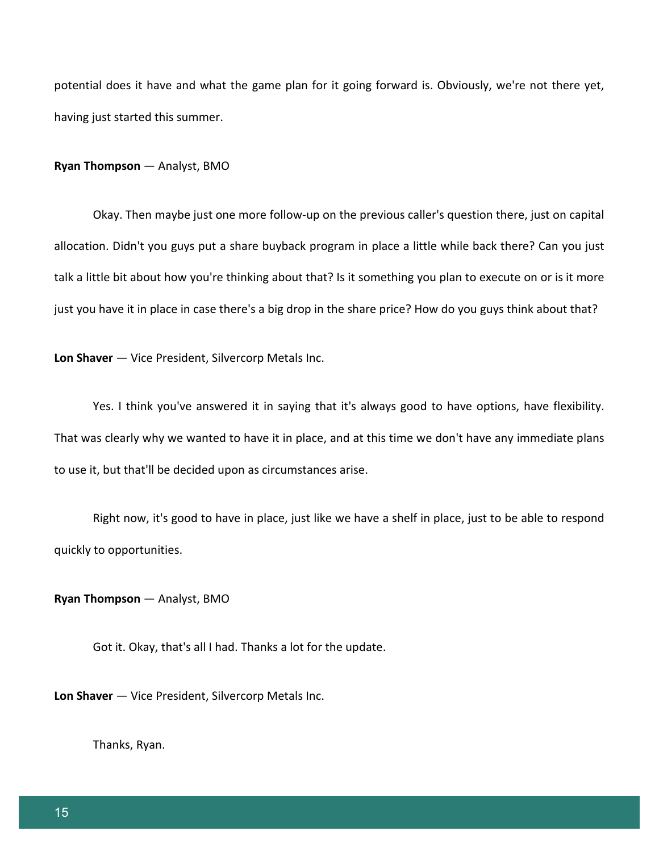potential does it have and what the game plan for it going forward is. Obviously, we're not there yet, having just started this summer.

#### **Ryan Thompson** — Analyst, BMO

Okay. Then maybe just one more follow-up on the previous caller's question there, just on capital allocation. Didn't you guys put a share buyback program in place a little while back there? Can you just talk a little bit about how you're thinking about that? Is it something you plan to execute on or is it more just you have it in place in case there's a big drop in the share price? How do you guys think about that?

**Lon Shaver** — Vice President, Silvercorp Metals Inc.

Yes. I think you've answered it in saying that it's always good to have options, have flexibility. That was clearly why we wanted to have it in place, and at this time we don't have any immediate plans to use it, but that'll be decided upon as circumstances arise.

Right now, it's good to have in place, just like we have a shelf in place, just to be able to respond quickly to opportunities.

**Ryan Thompson** — Analyst, BMO

Got it. Okay, that's all I had. Thanks a lot for the update.

**Lon Shaver** — Vice President, Silvercorp Metals Inc.

Thanks, Ryan.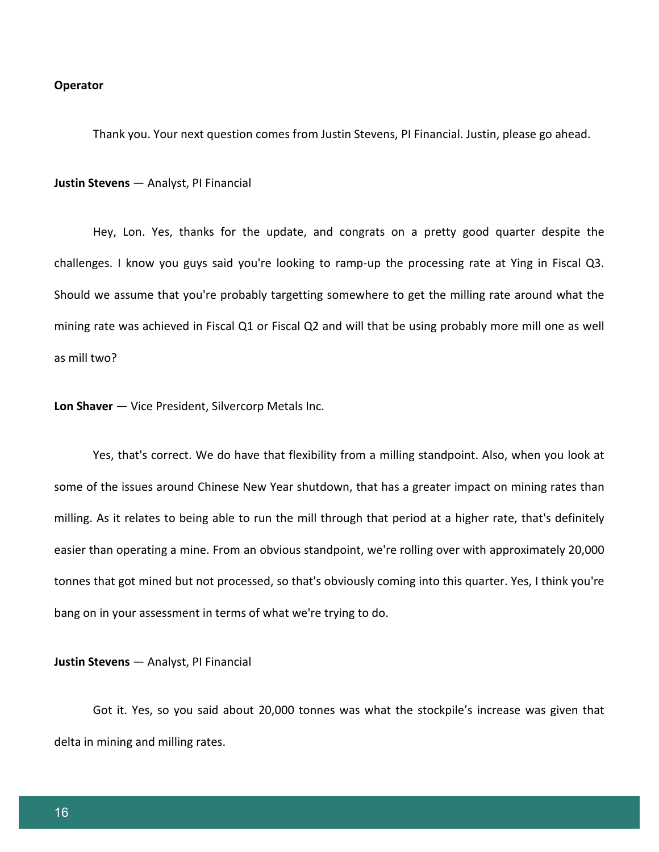#### **Operator**

Thank you. Your next question comes from Justin Stevens, PI Financial. Justin, please go ahead.

**Justin Stevens** — Analyst, PI Financial

Hey, Lon. Yes, thanks for the update, and congrats on a pretty good quarter despite the challenges. I know you guys said you're looking to ramp-up the processing rate at Ying in Fiscal Q3. Should we assume that you're probably targetting somewhere to get the milling rate around what the mining rate was achieved in Fiscal Q1 or Fiscal Q2 and will that be using probably more mill one as well as mill two?

**Lon Shaver** — Vice President, Silvercorp Metals Inc.

Yes, that's correct. We do have that flexibility from a milling standpoint. Also, when you look at some of the issues around Chinese New Year shutdown, that has a greater impact on mining rates than milling. As it relates to being able to run the mill through that period at a higher rate, that's definitely easier than operating a mine. From an obvious standpoint, we're rolling over with approximately 20,000 tonnes that got mined but not processed, so that's obviously coming into this quarter. Yes, I think you're bang on in your assessment in terms of what we're trying to do.

**Justin Stevens** — Analyst, PI Financial

Got it. Yes, so you said about 20,000 tonnes was what the stockpile's increase was given that delta in mining and milling rates.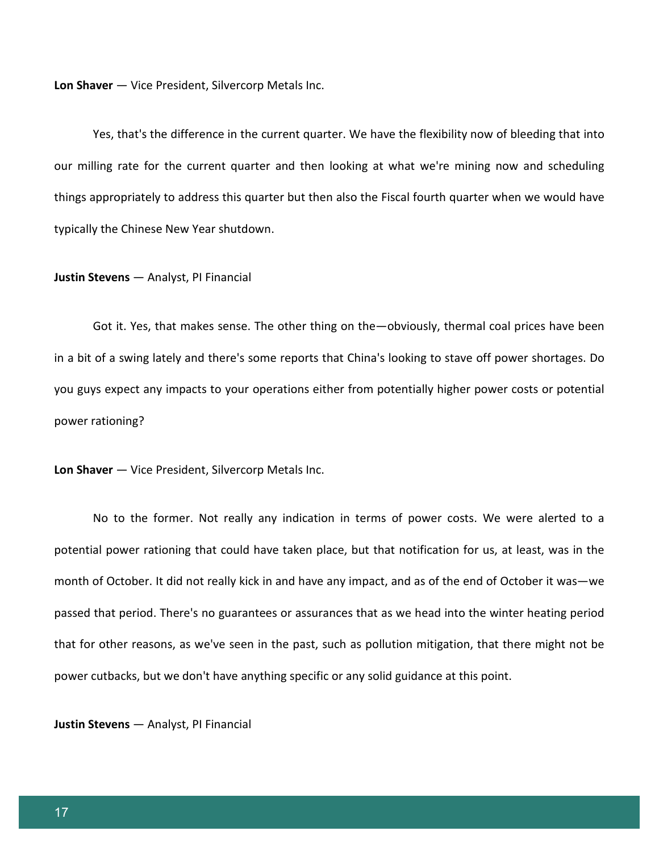**Lon Shaver** — Vice President, Silvercorp Metals Inc.

Yes, that's the difference in the current quarter. We have the flexibility now of bleeding that into our milling rate for the current quarter and then looking at what we're mining now and scheduling things appropriately to address this quarter but then also the Fiscal fourth quarter when we would have typically the Chinese New Year shutdown.

#### **Justin Stevens** — Analyst, PI Financial

Got it. Yes, that makes sense. The other thing on the—obviously, thermal coal prices have been in a bit of a swing lately and there's some reports that China's looking to stave off power shortages. Do you guys expect any impacts to your operations either from potentially higher power costs or potential power rationing?

**Lon Shaver** — Vice President, Silvercorp Metals Inc.

No to the former. Not really any indication in terms of power costs. We were alerted to a potential power rationing that could have taken place, but that notification for us, at least, was in the month of October. It did not really kick in and have any impact, and as of the end of October it was—we passed that period. There's no guarantees or assurances that as we head into the winter heating period that for other reasons, as we've seen in the past, such as pollution mitigation, that there might not be power cutbacks, but we don't have anything specific or any solid guidance at this point.

**Justin Stevens** — Analyst, PI Financial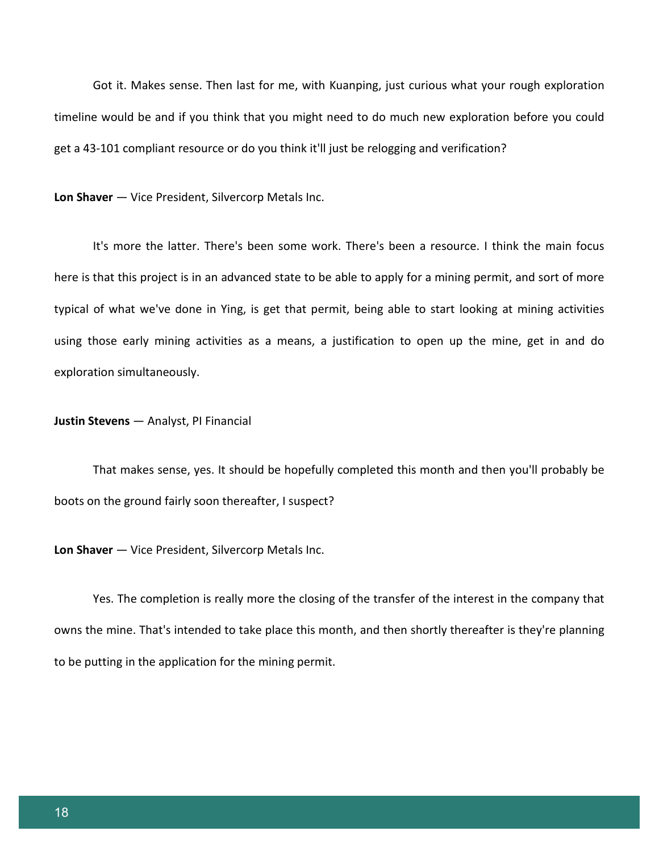Got it. Makes sense. Then last for me, with Kuanping, just curious what your rough exploration timeline would be and if you think that you might need to do much new exploration before you could get a 43-101 compliant resource or do you think it'll just be relogging and verification?

**Lon Shaver** — Vice President, Silvercorp Metals Inc.

It's more the latter. There's been some work. There's been a resource. I think the main focus here is that this project is in an advanced state to be able to apply for a mining permit, and sort of more typical of what we've done in Ying, is get that permit, being able to start looking at mining activities using those early mining activities as a means, a justification to open up the mine, get in and do exploration simultaneously.

# **Justin Stevens** — Analyst, PI Financial

That makes sense, yes. It should be hopefully completed this month and then you'll probably be boots on the ground fairly soon thereafter, I suspect?

**Lon Shaver** — Vice President, Silvercorp Metals Inc.

Yes. The completion is really more the closing of the transfer of the interest in the company that owns the mine. That's intended to take place this month, and then shortly thereafter is they're planning to be putting in the application for the mining permit.